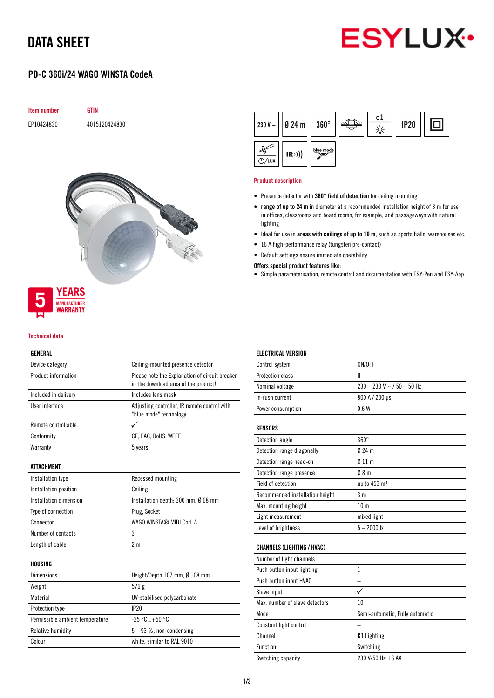# DATA SHEET



## PD-C 360i/24 WAGO WINSTA CodeA





## **MANUFACTURER** WARRANTY

#### Technical data

### GENERAL

| Device category                 | Ceiling-mounted presence detector                                                      |  |
|---------------------------------|----------------------------------------------------------------------------------------|--|
| Product information             | Please note the Explanation of circuit breaker<br>in the download area of the product! |  |
| Included in delivery            | Includes lens mask                                                                     |  |
| User interface                  | Adjusting controller, IR remote control with<br>"blue mode" technology                 |  |
| Remote controllable             |                                                                                        |  |
| Conformity                      | CE, EAC, RoHS, WEEE                                                                    |  |
| Warranty                        | 5 years                                                                                |  |
| ATTACHMENT                      |                                                                                        |  |
| Installation type               | Recessed mounting                                                                      |  |
| Installation position           | Ceiling                                                                                |  |
| Installation dimension          | Installation depth: 300 mm, Ø 68 mm                                                    |  |
| Type of connection              | Plug, Socket                                                                           |  |
| Connector                       | WAGO WINSTA® MIDI Cod. A                                                               |  |
| Number of contacts              | 3                                                                                      |  |
| Length of cable                 | 2 <sub>m</sub>                                                                         |  |
| HOUSING                         |                                                                                        |  |
| Dimensions                      | Height/Depth 107 mm, Ø 108 mm                                                          |  |
| Weight                          | 576g                                                                                   |  |
| Material                        | UV-stabilised polycarbonate                                                            |  |
| Protection type                 | IP20                                                                                   |  |
| Permissible ambient temperature | $-25 °C+50 °C$                                                                         |  |
| <b>Relative humidity</b>        | $5-93$ %, non-condensing                                                               |  |
| Colour                          | white, similar to RAL 9010                                                             |  |

|                    | 230 V ~     Ø 24 m     360 $^{\circ}$ |           | c1 | <b>IP20</b> |  |
|--------------------|---------------------------------------|-----------|----|-------------|--|
| $\frac{1}{2}$ /LUX | (R))                                  | blue mode |    |             |  |

#### Product description

- Presence detector with 360° field of detection for ceiling mounting
- range of up to 24 m in diameter at a recommended installation height of 3 m for use in offices, classrooms and board rooms, for example, and passageways with natural lighting
- Ideal for use in areas with ceilings of up to 10 m, such as sports halls, warehouses etc.
- 16 A high-performance relay (tungsten pre-contact)
- Default settings ensure immediate operability

Offers special product features like:

• Simple parameterisation, remote control and documentation with ESY-Pen and ESY-App

| <b>ELECTRICAL VERSION</b>         |                                 |
|-----------------------------------|---------------------------------|
| Control system                    | ON/OFF                          |
| Protection class                  | Ш                               |
| Nominal voltage                   | $230 - 230$ V ~ / 50 - 50 Hz    |
| In-rush current                   | 800 A / 200 µs                  |
| Power consumption                 | 0.6W                            |
| <b>SENSORS</b>                    |                                 |
| Detection angle                   | $360^\circ$                     |
| Detection range diagonally        | $024 \text{ m}$                 |
| Detection range head-on           | 011 <sub>m</sub>                |
| Detection range presence          | 08 <sub>m</sub>                 |
| Field of detection                | up to 453 m <sup>2</sup>        |
| Recommended installation height   | 3 <sub>m</sub>                  |
| Max. mounting height              | 10 <sub>m</sub>                 |
| Light measurement                 | mixed light                     |
| Level of brightness               | $5 - 2000$ lx                   |
| <b>CHANNELS (LIGHTING / HVAC)</b> |                                 |
| Number of light channels          | $\mathbf{1}$                    |
| Push button input lighting        | $\mathbf{1}$                    |
| Push button input HVAC            |                                 |
| Slave input                       | ✓                               |
| Max, number of slave detectors    | 10                              |
| Mode                              | Semi-automatic, Fully automatic |
| Constant light control            |                                 |
| Channel                           | <b>C1</b> Lighting              |
| <b>Function</b>                   | Switching                       |
| Switching capacity                | 230 V/50 Hz, 16 AX              |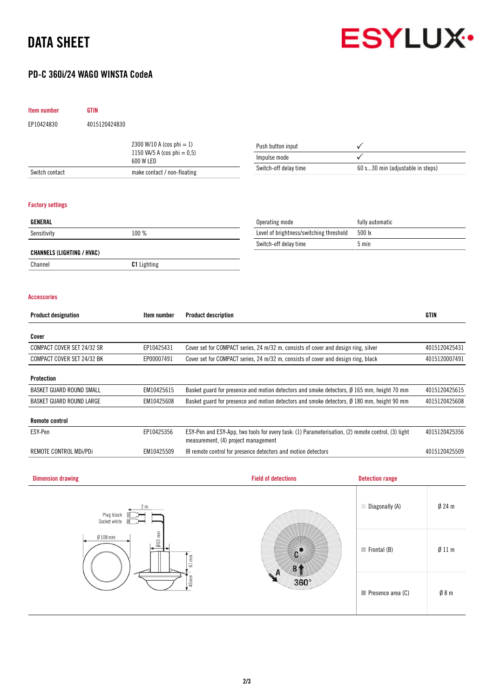# DATA SHEET



## PD-C 360i/24 WAGO WINSTA CodeA

| Item number                       | <b>GTIN</b>                 |                                |                                                                                                                                           |                                                                                                      |                                  |               |  |
|-----------------------------------|-----------------------------|--------------------------------|-------------------------------------------------------------------------------------------------------------------------------------------|------------------------------------------------------------------------------------------------------|----------------------------------|---------------|--|
| EP10424830                        | 4015120424830               |                                |                                                                                                                                           |                                                                                                      |                                  |               |  |
|                                   |                             | 2300 W/10 A (cos phi = 1)      |                                                                                                                                           |                                                                                                      |                                  |               |  |
|                                   |                             | 1150 VA/5 A (cos phi = $0,5$ ) |                                                                                                                                           | Push button input<br>Impulse mode                                                                    | $\checkmark$                     |               |  |
|                                   |                             | 600 W LED                      |                                                                                                                                           | Switch-off delay time                                                                                | 60 s30 min (adjustable in steps) |               |  |
| Switch contact                    | make contact / non-floating |                                |                                                                                                                                           |                                                                                                      |                                  |               |  |
| <b>Factory settings</b>           |                             |                                |                                                                                                                                           |                                                                                                      |                                  |               |  |
| GENERAL                           |                             |                                |                                                                                                                                           | Operating mode                                                                                       | fully automatic                  |               |  |
| Sensitivity                       | 100 %                       |                                |                                                                                                                                           | Level of brightness/switching threshold                                                              | 500 lx                           |               |  |
|                                   |                             |                                |                                                                                                                                           | Switch-off delay time                                                                                | 5 min                            |               |  |
| <b>CHANNELS (LIGHTING / HVAC)</b> |                             |                                |                                                                                                                                           |                                                                                                      |                                  |               |  |
| Channel                           |                             | C1 Lighting                    |                                                                                                                                           |                                                                                                      |                                  |               |  |
| <b>Accessories</b>                |                             |                                |                                                                                                                                           |                                                                                                      |                                  |               |  |
| <b>Product designation</b>        |                             | Item number                    | <b>Product description</b>                                                                                                                |                                                                                                      |                                  | <b>GTIN</b>   |  |
| Cover                             |                             |                                |                                                                                                                                           |                                                                                                      |                                  |               |  |
| COMPACT COVER SET 24/32 SR        |                             | EP10425431                     |                                                                                                                                           | Cover set for COMPACT series, 24 m/32 m, consists of cover and design ring, silver                   |                                  | 4015120425431 |  |
| COMPACT COVER SET 24/32 BK        |                             | EP00007491                     |                                                                                                                                           | Cover set for COMPACT series, 24 m/32 m, consists of cover and design ring, black                    | 4015120007491                    |               |  |
| <b>Protection</b>                 |                             |                                |                                                                                                                                           |                                                                                                      |                                  |               |  |
| BASKET GUARD ROUND SMALL          |                             | EM10425615                     |                                                                                                                                           | Basket guard for presence and motion detectors and smoke detectors, Ø 165 mm, height 70 mm           |                                  |               |  |
| BASKET GUARD ROUND LARGE          |                             | EM10425608                     |                                                                                                                                           | Basket guard for presence and motion detectors and smoke detectors, $\emptyset$ 180 mm, height 90 mm |                                  | 4015120425608 |  |
| <b>Remote control</b>             |                             |                                |                                                                                                                                           |                                                                                                      |                                  |               |  |
| ESY-Pen                           |                             | EP10425356                     | ESY-Pen and ESY-App, two tools for every task: (1) Parameterisation, (2) remote control, (3) light<br>measurement, (4) project management |                                                                                                      |                                  | 4015120425356 |  |
| REMOTE CONTROL MDi/PDi            |                             | EM10425509                     | IR remote control for presence detectors and motion detectors                                                                             |                                                                                                      |                                  | 4015120425509 |  |
|                                   |                             |                                |                                                                                                                                           |                                                                                                      |                                  |               |  |
| <b>Dimension drawing</b>          |                             |                                |                                                                                                                                           | <b>Field of detections</b>                                                                           | <b>Detection range</b>           |               |  |
|                                   | Plug black<br>Socket white  | 2 m                            |                                                                                                                                           |                                                                                                      | Diagonally (A)                   | $Ø$ 24 m      |  |
| $663$ mm<br>$Ø$ 108 mm            |                             | $61 \, \mathrm{mm}$            | 360°                                                                                                                                      | $\blacksquare$ Frontal (B)                                                                           | Ø11 m                            |               |  |
|                                   |                             | 46 mm                          |                                                                                                                                           | Presence area (C)                                                                                    | $\emptyset$ 8 m                  |               |  |